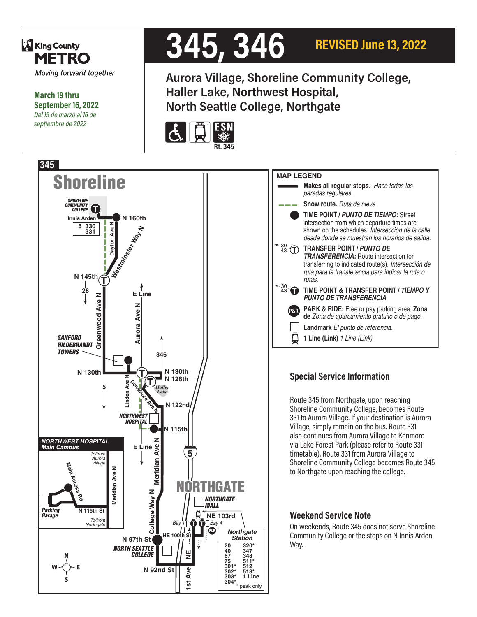

**March 19 thru September 16, 2022** *Del 19 de marzo al 16 de septiembre de 2022*

# **345, 346**

**REVISED June 13, 2022**



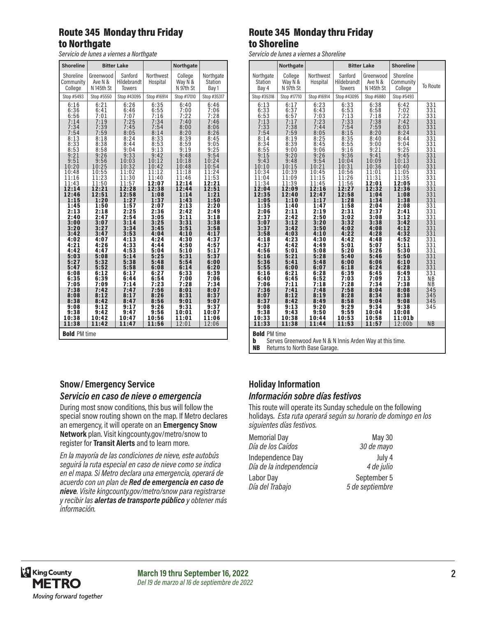# Route 345 Monday thru Friday to Northgate

*Servicio de lunes a viernes a Northgate*

| <b>Shoreline</b>                                    |                                                                           | <b>Bitter Lake</b>                      |                                  | <b>Northgate</b>                |                                      |  |
|-----------------------------------------------------|---------------------------------------------------------------------------|-----------------------------------------|----------------------------------|---------------------------------|--------------------------------------|--|
| Shoreline<br>Community<br>College                   | Greenwood<br>Ave N &<br>N 145th St                                        | Sanford<br>Hildebrandt<br><b>Towers</b> | Northwest<br>Hospital            | College<br>Way N &<br>N 97th St | Northgate<br><b>Station</b><br>Bay 1 |  |
| Stop #5493                                          | Stop #5550                                                                | Stop #43095                             | Stop #16914                      | Stop #17010                     | Stop #35317                          |  |
| 6:16<br>6:36<br>6:56<br>7:14                        | 6:21<br>6:41<br>7:01<br>7:19                                              | 6:26<br>6:46<br>7:07<br>7:25            | 6:35<br>$6:55$<br>$7:16$<br>7:34 | 6:40<br>7:00<br>7:22<br>7:40    | 6:46<br>7:06<br>7:28<br>7:46         |  |
| 7:34                                                | 7:39                                                                      | 7:45                                    | 7:54                             | 8:00                            | 8:06                                 |  |
| 7:54                                                | 7:59                                                                      | 8:05                                    | 8:14                             | 8:20                            | 8:26                                 |  |
| $\begin{array}{c} 8:13 \\ 8:33 \\ 8:53 \end{array}$ | 8:18<br>8:38<br>8:58                                                      | 8:24<br>8:44<br>9:04                    | 8:33<br>$8:53$<br>9:13           | 8:39<br>8:59<br>9:19            | 8:45<br>9:05<br>9:25                 |  |
| 9:21                                                | 9:26                                                                      | 9:33                                    | 9:42                             | 9:48                            | 9:54                                 |  |
| 9:51                                                | 9:56                                                                      | 10:03                                   | 10:12                            | 10:18                           | 10:24                                |  |
| 10:20                                               | 10:25                                                                     | 10:32                                   | 10:42                            | 10:48                           | 10:54                                |  |
| 10:48                                               | 10:55                                                                     | 11:02                                   | 11:12                            | 11:18                           | 11:24                                |  |
| 11:16                                               | 11:23                                                                     | 11:30                                   | 11:40                            | 11:46                           | 11:53                                |  |
| 11:43                                               | 11:50                                                                     | 11:57                                   | 12:07                            | 12:14                           | 12:21                                |  |
| 12:14                                               | 12:21                                                                     | 12:28                                   | 12:38                            | 12:44                           | 12:51                                |  |
| 12:46                                               | 12:51                                                                     | 12:58                                   | 1:08                             | 1:14                            | 1:21                                 |  |
| 1:15                                                | 1:20                                                                      | 1:27                                    | 1:37                             | 1:43                            | 1:50                                 |  |
| 1:45                                                | 1:50                                                                      | 1:57                                    | 2:07                             | 2:13                            | 2:20                                 |  |
| 2:13                                                | 2:18                                                                      | 2:25                                    | 2:36                             | 2:42                            | 2:49                                 |  |
| 2:40                                                | 2:47                                                                      | 2:54                                    | 3:05                             | 3:11                            | 3:18                                 |  |
| 3:00                                                | 3:07                                                                      | 3:14                                    | 3:25                             | 3:31                            | 3:38                                 |  |
| 3:20                                                | 3:27                                                                      | 3:34                                    | 3:45                             | 3:51                            | 3:58                                 |  |
| 3:42                                                | 3:47                                                                      | 3:53                                    | 4:04                             | 4:10                            | 4:17                                 |  |
| 4:02                                                | 4:07                                                                      | 4:13                                    | 4:24                             | 4:30                            | 4:37                                 |  |
| 4:21                                                | 4:26                                                                      | 4:33                                    | 4:44                             | 4:50                            | 4:57                                 |  |
| 4:42                                                | 4:47                                                                      | 4:53                                    | 5:04                             | 5:10                            | 5:17                                 |  |
| 5:03                                                | 5:08                                                                      | 5:14                                    | 5:25                             | 5:31                            | 5:37                                 |  |
| 5:27                                                | 5:32                                                                      | 5:38                                    | 5:48                             | 5:54                            | 6:00                                 |  |
| 5:47                                                | 5:52                                                                      | 5:58                                    | 6:08                             | 6:14                            | 6:20                                 |  |
| 6:08                                                | 6:12                                                                      | 6:17                                    | 6:27                             | 6:33                            | 6:39                                 |  |
| 6:35                                                | 6:39                                                                      | 6:44                                    | 6:54                             | 7:00                            | 7:06                                 |  |
| 7:05                                                | 7:09                                                                      | 7:14                                    | 7:23                             | 7:28                            | 7:34                                 |  |
| 7:38                                                | 7:42                                                                      | 7:47                                    | 7:56                             | 8:01                            | 8:07                                 |  |
| 8:08                                                | 8:12                                                                      | 8:17                                    | 8:26                             | 8:31                            | 8:37                                 |  |
| 8:38                                                | 8:42                                                                      | 8:47                                    | 8:56                             | 9:01                            | 9:07                                 |  |
| 9:08                                                | 9:12                                                                      | 9:17                                    | 9:26                             | 9:31                            | 9:37                                 |  |
| 9:38                                                | 9:42                                                                      | 9:47                                    | 9:56                             | 10:01                           | 10:07                                |  |
| 10:38                                               | 10:42                                                                     | 10:47                                   | 10:56                            | 11:01                           | 11:06                                |  |
|                                                     | 11:38<br>12:01<br>12:06<br>11:42<br>11:47<br>11:56<br><b>Bold PM time</b> |                                         |                                  |                                 |                                      |  |

#### Route 345 Monday thru Friday to Shoreline

*Servicio de lunes a viernes a Shoreline*

|                                                     | Northgate                                      |                                      |                                                        | <b>Bitter Lake</b>                               | <b>Shoreline</b>                                |                  |  |
|-----------------------------------------------------|------------------------------------------------|--------------------------------------|--------------------------------------------------------|--------------------------------------------------|-------------------------------------------------|------------------|--|
| Northgate<br><b>Station</b><br>Bay 4<br>Stop #35318 | College<br>Way N &<br>N 97th St<br>Stop #17710 | Northwest<br>Hospital<br>Stop #16914 | Sanford<br>Hildebrandt<br><b>Towers</b><br>Stop #43095 | Greenwood<br>Ave N &<br>N 145th St<br>Stop #6880 | Shoreline<br>Community<br>College<br>Stop #5493 | To Route         |  |
|                                                     |                                                |                                      |                                                        |                                                  |                                                 |                  |  |
| 6:13                                                | 6:17                                           | 6:23                                 | 6:33                                                   | 6:38                                             | 6:42                                            | 331              |  |
| 6:33                                                | 6:37                                           | 6:43                                 | 6:53                                                   | 6:58                                             | 7:02                                            | 331              |  |
| 6:53                                                | 6:57                                           | 7:03                                 | 7:13                                                   | 7:18                                             | 7:22                                            | 331              |  |
| 7:13                                                | 7:17                                           | 7:23                                 | 7:33                                                   | 7:38                                             | 7:42                                            | 331              |  |
| 7:33                                                | 7:38                                           | 7:44                                 | 7:54                                                   | 7:59                                             | 8:03                                            | 331              |  |
| 7:54                                                | 7:59                                           | 8:05                                 | 8:15                                                   | 8:20                                             | 8:24                                            | 331              |  |
| 8:14                                                | 8:19                                           | 8:25                                 | 8:35                                                   | 8:40                                             | 8:44                                            | 331              |  |
| 8:34                                                | 8:39                                           | 8:45                                 | 8:55                                                   | 9:00                                             | 9:04                                            | 331              |  |
| 8:55                                                | 9:00                                           | 9:06                                 | 9:16                                                   | 9:21                                             | 9:25                                            | 331              |  |
| 9:15                                                | 9:20                                           | 9:26                                 | 9:36                                                   | 9:41                                             | 9:45                                            | 331              |  |
| 9:43                                                | 9:48                                           | 9:54                                 | 10:04                                                  | 10:09                                            | 10:13                                           | 331              |  |
| 10:10                                               | 10:15                                          | 10:21                                | 10:31                                                  | 10:36                                            | 10:40                                           | 331              |  |
| 10:34                                               | 10:39                                          | 10:45                                | 10:56                                                  | 11:01                                            | 11:05                                           | 331              |  |
| 11:04                                               | 11:09                                          | 11:15                                | 11:26                                                  | 11:31                                            | 11:35                                           | 331              |  |
| 11:34                                               | 11:39                                          | 11:45                                | 11:56                                                  | 12:01                                            | 12:05                                           | 331              |  |
| 12:04                                               | 12:09                                          | 12:16                                | 12:27                                                  | 12:32                                            | 12:36                                           | 331              |  |
| 12:35                                               | 12:40                                          | 12:47                                | 12:58                                                  | 1:04                                             | 1:08                                            | 331              |  |
| 1:05                                                | 1:10                                           | 1:17                                 | 1:28                                                   | 1:34                                             | 1:38                                            | 331              |  |
| 1:35                                                | 1:40                                           | 1:47                                 | 1:58                                                   | 2:04                                             | 2:08                                            | 331              |  |
| 2:06                                                | 2:11                                           | 2:19                                 | 2:31                                                   | 2:37                                             | 2:41                                            | 331              |  |
| 2:37                                                | 2:42                                           | 2:50                                 | 3:02                                                   | 3:08                                             | 3:12                                            | 331              |  |
| 3:07                                                | 3:12                                           | 3:20                                 | 3:32                                                   | 3:38                                             | 3:42                                            | 331              |  |
| 3:37                                                | 3:42                                           | 3:50                                 | 4:02                                                   | 4:08                                             | 4:12                                            | 331              |  |
| 3:58                                                | 4:03                                           | 4:10                                 | 4:22                                                   | 4:28                                             | 4:32                                            | 331              |  |
| 4:18                                                | 4:23                                           | 4:30                                 | 4:42                                                   | 4:48                                             | 4:52                                            | 331              |  |
| 4:37                                                | 4:42                                           | 4:49                                 | 5:01                                                   | 5:07                                             | 5:11                                            | 331              |  |
| 4:56                                                | 5:01                                           | 5:08                                 | 5:20                                                   | 5:26                                             | 5:30                                            | $33\overline{1}$ |  |
| 5:16                                                | 5:21                                           | 5:28                                 | 5:40                                                   | 5:46                                             | 5:50                                            | 331              |  |
| 5:36                                                | 5:41                                           | 5:48                                 | 6:00                                                   | 6:06                                             | 6:10                                            | 331              |  |
| 5:55                                                | 6:00                                           | 6:07                                 | 6:18                                                   | 6:24                                             | 6:28                                            | 331              |  |
| 6:16                                                | 6:21                                           | 6:28                                 | 6:39                                                   | 6:45                                             | 6:49                                            | 331              |  |
| 6:40                                                | 6:45                                           | 6:52                                 | 7:03                                                   | 7:09                                             | 7:13                                            | <b>NB</b>        |  |
| 7:06                                                | 7:11                                           | 7:18                                 | 7:28                                                   | 7:34                                             | 7:38                                            | N <sub>B</sub>   |  |
| 7:36                                                | 7:41                                           | 7:48                                 | 7:58                                                   | 8:04                                             | 8:08                                            | 345              |  |
| 8:07                                                | 8:12                                           | 8:19                                 | 8:28                                                   | 8:34                                             | 8:38                                            | 345              |  |
| 8:37                                                | 8:42                                           | 8:49                                 | 8:58                                                   | 9:04                                             | 9:08                                            | 345              |  |
| 9:08                                                | 9:13                                           | 9:20                                 | 9:29                                                   | 9:34                                             | 9:38                                            | 345              |  |
| 9:38                                                | 9:43                                           | 9:50                                 | 9:59                                                   | 10:04                                            | 10:08                                           |                  |  |
| 10:33                                               | 10:38                                          | 10:44                                | 10:53                                                  | 10:58                                            | 11:01b                                          |                  |  |
| 11:33                                               | 11:38                                          | 11:44                                | 11:53                                                  | 11:57                                            | 12:00b                                          | <b>NB</b>        |  |
| <b>Bold PM time</b>                                 |                                                |                                      |                                                        |                                                  |                                                 |                  |  |

**b** Serves Greenwood Ave N & N Innis Arden Way at this time.<br>**NB** Returns to North Base Garage. Returns to North Base Garage.

#### **Snow/ Emergency Service**  *Servicio en caso de nieve o emergencia*

During most snow conditions, this bus will follow the special snow routing shown on the map. If Metro declares an emergency, it will operate on an **Emergency Snow Network** plan. Visit kingcounty.gov/metro/snow to register for **Transit Alerts** and to learn more.

*En la mayoría de las condiciones de nieve, este autobús seguirá la ruta especial en caso de nieve como se indica en el mapa. Si Metro declara una emergencia, operará de acuerdo con un plan de Red de emergencia en caso de nieve. Visite kingcounty.gov/metro/snow para registrarse y recibir las alertas de transporte público y obtener más información.*

# **Holiday Information** *Información sobre días festivos*

This route will operate its Sunday schedule on the following holidays. *Esta ruta operará según su horario de domingo en los siguientes días festivos.*

| <b>Memorial Day</b>     | May 30          |
|-------------------------|-----------------|
| Día de los Caídos       | 30 de mayo      |
| Independence Day        | July 4          |
| Día de la independencia | 4 de julio      |
| Labor Day               | September 5     |
| Día del Trabajo         | 5 de septiembre |

![](_page_1_Picture_14.jpeg)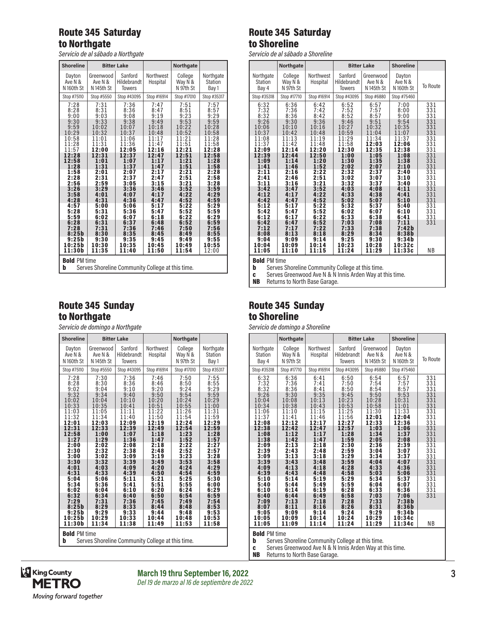## Route 345 Saturday to Northgate

*Servicio de al sábado a Northgate*

| <b>Shoreline</b>    |                                                  | <b>Bitter Lake</b> |                | <b>Northgate</b> |                |  |
|---------------------|--------------------------------------------------|--------------------|----------------|------------------|----------------|--|
|                     |                                                  |                    |                |                  |                |  |
| Dayton              | Greenwood                                        | Sanford            | Northwest      | College          | Northgate      |  |
| Ave N &             | Ave N &                                          | Hildebrandt        | Hospital       | Way N &          | Station        |  |
| N 160th St          | N 145th St                                       | <b>Towers</b>      |                | N 97th St        | Bay 1          |  |
| Stop #75110         | Stop #5550                                       | Stop #43095        | Stop #16914    | Stop #17010      | Stop #35317    |  |
| 7:28                | 7:31                                             | 7:36               | 7:47           | 7:51             | 7:57           |  |
| 8:28                | 8:31                                             | 8:36               | 8:47<br>9:19   | 8:51             | 8:57<br>9:29   |  |
| 9:00<br>9:30        | 9:03<br>9:33                                     | 9:08<br>9:38       | 9:49           | 9:23<br>9:53     | 9:59           |  |
| 9:59                | 10:02                                            | 10:07              | 10:18          | 10:22            | 10:28          |  |
| 10:29               | 10:32                                            | 10:37              | 10:48          | 10:52            | 10:58          |  |
| 10:58               | 11:01                                            | 11:06              | 11:17          | 11:21            | 11:28          |  |
| 11:28<br>11:57      | 11:31<br>12:00                                   | 11:36<br>12:05     | 11:47<br>12:16 | 11:51<br>12:21   | 11:58<br>12:28 |  |
| 12:28               | 12:31                                            | 12:37              | 12:47          | 12:51            | 12:58          |  |
| 12:58               | 1:01                                             | 1:07               | 1:17           | 1:21             | 1:28           |  |
| 1:28                | 1:31                                             | 1:37               | 1:47           | 1:51             | 1:58           |  |
| 1:58<br>2:28        | 2:01<br>2:31                                     | 2:07<br>2:37       | 2:17<br>2:47   | 2:21<br>2:51     | 2:28<br>2:58   |  |
| 2:56                | 2:59                                             | 3:05               | 3:15           | 3:21             | 3:28           |  |
| 3:26                | 3:29                                             | 3:36               | 3:46           | 3:52             | 3:59           |  |
| 3:58                | 4:01                                             | 4:07               | 4:17           | 4:22             | 4:29           |  |
| 4:28<br>4:57        | 4:31<br>5:00                                     | 4:36<br>5:06       | 4:47<br>5:17   | 4:52<br>5:22     | 4:59<br>5:29   |  |
| 5:28                | 5:31                                             | 5:36               | 5:47           | 5:52             | 5:59           |  |
| 5:59                | 6:02                                             | 6:07               | 6:18           | 6:22             | 6:29           |  |
| 6:28                | 6:31                                             | 6:37               | 6:48           | 6:52             | 6:59           |  |
| 7:28<br>8:25b       | 7:31<br>8:30                                     | 7:36<br>8:35       | 7:46<br>8:45   | 7:50<br>8:49     | 7:56<br>8:55   |  |
| 9:25b               | 9:30                                             | 9:35               | 9:45           | 9:49             | 9:55           |  |
| 10:25b              | 10:30                                            | 10:35              | 10:45          | 10:49            | 10:55          |  |
| 11:30b              | 11:35                                            | 11:40              | 11:50          | 11:54            | 12:00          |  |
| <b>Bold PM time</b> |                                                  |                    |                |                  |                |  |
| b                   | Serves Shoreline Community College at this time. |                    |                |                  |                |  |

#### Route 345 Sunday to Northgate

*Servicio de domingo a Northgate*

| <b>Shoreline</b>                                                             |                                    | <b>Bitter Lake</b>                      |                       | <b>Northgate</b>                |                               |
|------------------------------------------------------------------------------|------------------------------------|-----------------------------------------|-----------------------|---------------------------------|-------------------------------|
| Dayton<br>Ave N &<br>N 160th St                                              | Greenwood<br>Ave N &<br>N 145th St | Sanford<br>Hildebrandt<br><b>Towers</b> | Northwest<br>Hospital | College<br>Way N &<br>N 97th St | Northgate<br>Station<br>Bay 1 |
| Stop #75110                                                                  | Stop #5550                         | Stop #43095                             | Stop #16914           | Stop #17010                     | Stop #35317                   |
| 7:28                                                                         | 7:30                               | 7:36                                    | 7:46                  | 7:50                            | 7:55                          |
| 8:28                                                                         | 8:30                               | 8:36                                    | 8:46                  | 8:50                            | 8:55                          |
| 9:02                                                                         | 9:04                               | 9:10                                    | 9:20                  | 9:24                            | 9:29                          |
| 9:32                                                                         | 9:34                               | 9:40                                    | 9:50                  | 9:54                            | 9:59                          |
| 10:02                                                                        | 10:04                              | 10:10                                   | 10:20                 | 10:24                           | 10:29                         |
| 10:33                                                                        | 10:35                              | 10:41                                   | 10:51                 | 10:55                           | 11:00                         |
| 11:03                                                                        | 11:05                              | 11:11                                   | 11:22                 | 11:26                           | 11:31                         |
| 11:32                                                                        | 11:34                              | 11:40                                   | 11:50                 | 11:54                           | 11:59                         |
| 12:01                                                                        | 12:03                              | 12:09                                   | 12:19                 | 12:24                           | 12:29                         |
| 12:31                                                                        | 12:33                              | 12:39                                   | 12:49                 | 12:54                           | 12:59                         |
| 12:58                                                                        | 1:00                               | 1:07                                    | 1:18                  | 1:23                            | 1:28                          |
| 1:27                                                                         | 1:29                               | 1:36                                    | 1:47                  | 1:52                            | 1:57                          |
| 2:00                                                                         | 2:02                               | 2:08                                    | 2:18                  | 2:22                            | 2:27                          |
| 2:30                                                                         | 2:32                               | 2:38                                    | 2:48                  | 2:52                            | 2:57                          |
| 3:00                                                                         | 3:02                               | 3:09                                    | 3:19                  | 3:23                            | 3:28                          |
| 3:30                                                                         | 3:32                               | 3:39                                    | 3:49                  | 3:53                            | 3:58                          |
| 4:01                                                                         | 4:03                               | 4:09                                    | 4:20                  | 4:24                            | 4:29                          |
| 4:31                                                                         | 4:33                               | 4:39                                    | 4:50                  | 4:54                            | 4:59                          |
| 5:04                                                                         | 5:06                               | 5:11                                    | 5:21                  | 5:25                            | 5:30                          |
| 5:34                                                                         | 5:36                               | 5:41                                    | 5:51                  | 5:55                            | 6:00                          |
| 6:02                                                                         | 6:04                               | 6:10                                    | 6:20                  | 6:24                            | 6:29                          |
| 6:32                                                                         | 6:34                               | 6:40                                    | 6:50                  | 6:54                            | 6:59                          |
| 7:29                                                                         | 7:31                               | 7:36                                    | 7:45                  | 7:49                            | 7:54                          |
| 8:25b                                                                        | 8:29                               | 8:33                                    | 8:44                  | 8:48                            | 8:53                          |
| 9:25b                                                                        | 9:29                               | 9:33                                    | 9:44                  | 9:48                            | 9:53                          |
| 10:25b                                                                       | 10:29                              | 10:33                                   | 10:44                 | 10:48                           | 10:53                         |
| 11:30b                                                                       | 11:34                              | 11:38                                   | 11:49                 | 11:53                           | 11:58                         |
| <b>Bold PM time</b><br>Serves Shoreline Community College at this time.<br>b |                                    |                                         |                       |                                 |                               |

# Route 345 Saturday to Shoreline

*Servicio de al sábado a Shoreline*

|                                      | Northgate                       |                       |                                         | <b>Bitter Lake</b>                 | <b>Shoreline</b>                           |                 |
|--------------------------------------|---------------------------------|-----------------------|-----------------------------------------|------------------------------------|--------------------------------------------|-----------------|
| Northgate<br><b>Station</b><br>Bay 4 | College<br>Way N &<br>N 97th St | Northwest<br>Hospital | Sanford<br>Hildebrandt<br><b>Towers</b> | Greenwood<br>Ave N &<br>N 145th St | Dayton<br>Ave N &<br>N <sub>160th</sub> St | <b>To Route</b> |
| Stop #35318                          | Stop #17710                     | Stop #16914           | Stop #43095                             | Stop #6880                         | Stop #75460                                |                 |
| 6:32                                 | 6:36                            | 6:42                  | 6:52                                    | 6:57                               | 7:00                                       | 331             |
| 7:32                                 | 7:36                            | 7:42                  | 7:52                                    | 7:57                               | 8:00                                       | 331             |
| 8:32                                 | 8:36                            | 8:42                  | 8:52                                    | 8:57                               | 9:00                                       | 331             |
| 9:26                                 | 9:30                            | 9:36                  | 9:46                                    | 9:51                               | 9:54                                       | 331             |
| 10:06                                | 10:10                           | 10:16                 | 10:27                                   | 10:32                              | 10:35                                      | 331             |
| 10:37                                | 10:42                           | 10:48                 | 10:59                                   | 11:04                              | 11:07                                      | 331             |
| 11:08                                | 11:13                           | 11:19                 | 11:29                                   | 11:34                              | 11:37                                      | 331             |
| 11:37                                | 11:42                           | 11:48                 | 11:58                                   | 12:03                              | 12:06                                      | 331             |
| 12:09                                | 12:14                           | 12:20                 | 12:30                                   | 12:35                              | 12:38                                      | 331             |
| 12:39                                | 12:44                           | 12:50                 | 1:00                                    | 1:05                               | 1:08                                       | 331             |
| 1:09                                 | 1:14                            | 1:20                  | 1:30                                    | 1:35                               | 1:38                                       | 331             |
| 1:41                                 | 1:46                            | 1:52                  | 2:02                                    | 2:07                               | 2:10                                       | 331             |
| 2:11                                 | 2:16                            | 2:22                  | 2:32                                    | 2:37                               | 2:40                                       | 331             |
| 2:41                                 | 2:46                            | 2:51                  | 3:02                                    | 3:07                               | 3:10                                       | 331             |
| 3:11                                 | 3:16                            | 3:21                  | 3:32                                    | 3:37                               | 3:40                                       | 331             |
| 3:42                                 | 3:47                            | 3:52                  | 4:03                                    | 4:08                               | 4:11                                       | 331             |
| 4:12                                 | 4:17                            | 4:22                  | 4:33                                    | 4:38                               | 4:41                                       | 331             |
| 4:42                                 | 4:47                            | 4:52                  | 5:02                                    | 5:07                               | 5:10                                       | 331             |
| 5:12                                 | 5:17                            | 5:22                  | 5:32                                    | 5:37                               | 5:40                                       | 331             |
| 5:42                                 | 5:47                            | 5:52                  | 6:02                                    | 6:07                               | 6:10                                       | 331             |
| 6:12                                 | 6:17                            | 6:22                  | 6:33                                    | 6:38                               | 6:41                                       | 331             |
| 6:42                                 | 6:47                            | 6:52                  | 7:03                                    | 7:08                               | 7:11                                       | 331             |
| 7:12                                 | 7:17                            | 7:22                  | 7:33                                    | 7:38                               | 7:42b                                      |                 |
| 8:08                                 | 8:13                            | 8:18                  | 8:29                                    | 8:34                               | 8:38b                                      |                 |
| 9:04                                 | 9:09                            | 9:14                  | 9:25                                    | 9:30                               | 9:34b                                      | ΝB              |
| 10:04                                | 10:09                           | 10:14                 | 10:23                                   | 10:28                              | 10:32c                                     |                 |
| 11:05                                | 11:10                           | 11:15                 | 11:24                                   | 11:29                              | 11:33c                                     |                 |
| $B = Id \nightharpoonup M + \cdots$  |                                 |                       |                                         |                                    |                                            |                 |

**Bold** PM time<br>**b** Serves S

**b** Serves Shoreline Community College at this time.

**c** Serves Greenwood Ave N & N Innis Arden Way at this time.

**NB** Returns to North Base Garage.

#### Route 345 Sunday to Shoreline

*Servicio de domingo a Shoreline*

|                                      | Northgate                       |                       |                                         | <b>Bitter Lake</b>                 | <b>Shoreline</b>                |                 |
|--------------------------------------|---------------------------------|-----------------------|-----------------------------------------|------------------------------------|---------------------------------|-----------------|
| Northgate<br><b>Station</b><br>Bay 4 | College<br>Way N &<br>N 97th St | Northwest<br>Hospital | Sanford<br>Hildebrandt<br><b>Towers</b> | Greenwood<br>Ave N &<br>N 145th St | Dayton<br>Ave N &<br>N 160th St | <b>To Route</b> |
| Stop #35318                          | Stop #17710                     | Stop #16914           | Stop #43095                             | Stop #6880                         | Stop #75460                     |                 |
| 6:32                                 | 6:36                            | 6:41                  | 6:50                                    | 6:54                               | 6:57                            | 331             |
| 7:32                                 | 7:36                            | 7:41                  | 7:50                                    | 7:54                               | 7:57                            | 331             |
| 8:32                                 | 8:36                            | 8:41                  | 8:50                                    | 8:54                               | 8:57                            | 331             |
| 9:26                                 | 9:30                            | 9:35                  | 9:45                                    | 9:50                               | 9:53                            | 331             |
| 10:04                                | 10:08                           | 10:13                 | 10:23                                   | 10:28                              | 10:31                           | 331             |
| 10:34                                | 10:38                           | 10:43                 | 10:53                                   | 10:58                              | 11:01                           | 331             |
| 11:06                                | 11:10                           | 11:15                 | 11:25                                   | 11:30                              | 11:33                           | 331             |
| 11:37                                | 11:41                           | 11:46                 | 11:56                                   | 12:01                              | 12:04                           | 331             |
| 12:08                                | 12:12                           | 12:17                 | 12:27                                   | 12:33                              | 12:36                           | 331             |
| 12:38                                | 12:42                           | 12:47                 | 12:57                                   | 1:03                               | 1:06                            | 331             |
| 1:08                                 | 1:12                            | 1:17                  | 1:28                                    | 1:34                               | 1:37                            | 331             |
| 1:38                                 | 1:42                            | 1:47                  | 1:59                                    | 2:05                               | 2:08                            | 331             |
| 2:09                                 | 2:13                            | 2:18                  | 2:30                                    | 2:36                               | 2:39                            | 331             |
| 2:39                                 | 2:43                            | 2:48                  | 2:59                                    | 3:04                               | 3:07                            | 331             |
| 3:09                                 | 3:13                            | 3:18                  | 3:29                                    | 3:34                               | 3:37                            | 331             |
| 3:39                                 | 3:43                            | 3:48                  | 3:59                                    | 4:04                               | 4:07                            | 331             |
| 4:09                                 | 4:13                            | 4:18                  | 4:28                                    | 4:33                               | 4:36                            | 331             |
| 4:39                                 | 4:43                            | 4:48                  | 4:58                                    | 5:03                               | 5:06                            | 331             |
| 5:10                                 | 5:14                            | 5:19                  | 5:29                                    | 5:34                               | 5:37                            | 331             |
| 5:40                                 | 5:44                            | 5:49                  | 5:59                                    | 6:04                               | 6:07                            | 331             |
| 6:10                                 | 6:14                            | 6:19                  | 6:28                                    | 6:33                               | 6:36                            | 331             |
| 6:40                                 | 6:44                            | 6:49                  | 6:58                                    | 7:03                               | 7:06                            | 331             |
| 7:09                                 | 7:13                            | 7:18                  | 7:28                                    | 7:33                               | 7:38b                           |                 |
| 8:07                                 | 8:11                            | 8:16                  | 8:26                                    | 8:31                               | 8:36b                           |                 |
| 9:05                                 | 9:09                            | 9:14                  | 9:24                                    | 9:29                               | 9:34b                           | <b>NB</b>       |
| 10:05                                | 10:09                           | 10:14                 | 10:24                                   | 10:29                              | 10:34c                          |                 |
| 11:05                                | 11:09                           | 11:14                 | 11:24                                   | 11:29                              | 11:34c                          |                 |

**Bold PM time**<br>**b** Serves S

**b** Serves Shoreline Community College at this time.<br>**c** Serves Greenwood Ave N & N Innis Arden Way at t

Serves Greenwood Ave N & N Innis Arden Way at this time.

**NB** Returns to North Base Garage.

![](_page_2_Picture_20.jpeg)

#### **March 19 thru September 16, 2022 3** *Del 19 de marzo al 16 de septiembre de 2022*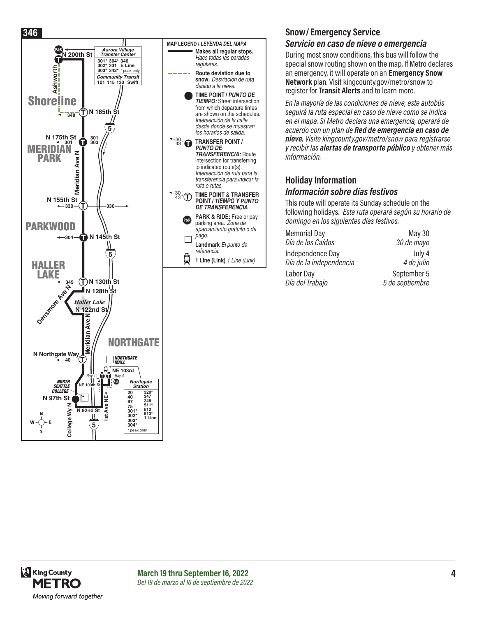![](_page_3_Figure_0.jpeg)

## **Snow/ Emergency Service**

#### *Servicio en caso de nieve o emergencia*

During most snow conditions, this bus will follow the special snow routing shown on the map. If Metro declares an emergency, it will operate on an **Emergency Snow Network** plan. Visit kingcounty.gov/metro/snow to register for **Transit Alerts** and to learn more.

*En la mayoría de las condiciones de nieve, este autobús seguirá la ruta especial en caso de nieve como se indica en el mapa. Si Metro declara una emergencia, operará de acuerdo con un plan de Red de emergencia en caso de nieve. Visite kingcounty.gov/metro/snow para registrarse y recibir las alertas de transporte público y obtener más información.*

#### **Holiday Information** *Información sobre días festivos*

This route will operate its Sunday schedule on the following holidays. *Esta ruta operará según su horario de domingo en los siguientes días festivos.*

| <b>Memorial Day</b>     | <b>May 30</b>   |
|-------------------------|-----------------|
| Día de los Caídos       | 30 de mayo      |
| Independence Day        | July 4          |
| Día de la independencia | 4 de julio      |
| Labor Day               | September 5     |
| Día del Trabajo         | 5 de septiembre |

![](_page_3_Picture_8.jpeg)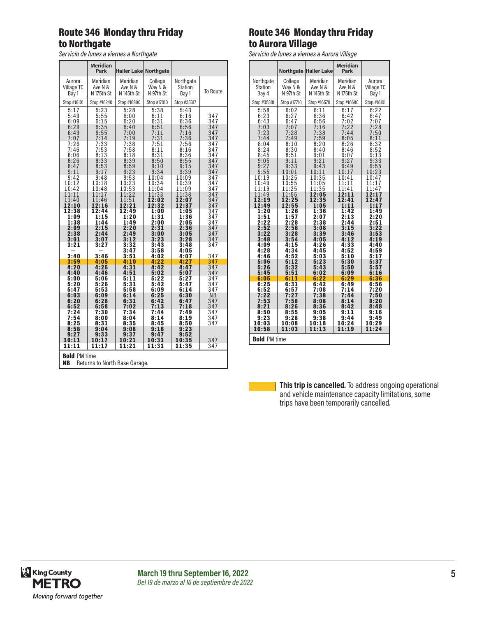# Route 346 Monday thru Friday to Northgate

*Servicio de lunes a viernes a Northgate*

|                                                                   | <b>Meridian</b><br>Park              | <b>Haller Lake Northgate</b>         |                                      |                                      |                          |  |
|-------------------------------------------------------------------|--------------------------------------|--------------------------------------|--------------------------------------|--------------------------------------|--------------------------|--|
| Aurora                                                            | Meridian                             | Meridian                             | College                              | Northgate                            | <b>To Route</b>          |  |
| Village TC                                                        | Ave N &                              | Ave N &                              | Way N &                              | Station                              |                          |  |
| Bay 1                                                             | N 175th St                           | N 145th St                           | N 97th St                            | Bay 1                                |                          |  |
| Stop #16101                                                       | Stop #16240                          | Stop #16800                          | Stop #17010                          | Stop #35317                          |                          |  |
| 5:17<br>5:49<br>6:09<br>6:29<br>6:49                              | 5:23<br>5:55<br>6:15<br>6:35<br>6:55 | 5:28<br>6:00<br>6:20<br>6:40<br>7:00 | 5:38<br>6:11<br>6:31<br>6:51<br>7:11 | 5:43<br>6:16<br>6:36<br>6:56<br>7:16 | 347<br>347<br>347<br>347 |  |
| 7:07                                                              | 7:14                                 | 7:19                                 | 7:31                                 | 7:36                                 | 347                      |  |
| 7:26                                                              | 7:33                                 | 7:38                                 | 7:51                                 | 7:56                                 | 347                      |  |
| 7:46                                                              | 7:53                                 | 7:58                                 | 8:11                                 | 8:16                                 | 347                      |  |
| 8:06                                                              | 8:13                                 | 8:18                                 | 8:31                                 | 8:36                                 | 347                      |  |
| 8:26                                                              | 8:33                                 | 8:39                                 | 8:50                                 | 8:55                                 | 347                      |  |
| 8:47                                                              | 8:53                                 | 8:59                                 | 9:10                                 | 9:15                                 | 347                      |  |
| 9:11                                                              | 9:17                                 | 9:23                                 | 9:34                                 | 9:39                                 | 347                      |  |
| 9:42                                                              | 9:48                                 | 9:53                                 | 10:04                                | 10:09                                | 347                      |  |
| 10:12                                                             | 10:18                                | 10:23                                | 10:34                                | 10:39                                | 347                      |  |
| 10:42                                                             | 10:48                                | 10:53                                | 11:04                                | 11:09                                | 347                      |  |
| 11:11                                                             | 11:17                                | 11:22                                | 11:33                                | 11:38                                | 347                      |  |
| 11:40                                                             | 11:46                                | 11:51                                | 12:02                                | 12:07                                | 347                      |  |
| 12:10                                                             | 12:16                                | 12:21                                | 12:32                                | 12:37                                | 347                      |  |
| 12:38                                                             | 12:44                                | 12:49                                | 1:00                                 | 1:05                                 | 347                      |  |
| 1:09                                                              | 1:15                                 | 1:20                                 | 1:31                                 | 1:36                                 | 347                      |  |
| 1:38                                                              | 1:44                                 | 1:49                                 | 2:00                                 | 2:05                                 | 347                      |  |
| 2:09                                                              | 2:15                                 | 2:20                                 | 2:31                                 | 2:36                                 | 347                      |  |
| 2:38                                                              | 2:44                                 | 2:49                                 | 3:00                                 | 3:05                                 | 347                      |  |
| 3:01<br>3:21                                                      | 3:07<br>3:27                         | 3:12<br>3:32<br>3:47                 | 3:23<br>3:43<br>3:58                 | 3:28<br>3:48<br>4:05                 | 347<br>347               |  |
| 3:40                                                              | 3:46                                 | 3:51                                 | 4:02                                 | 4:07                                 | 347                      |  |
| 3:59                                                              | 4:05                                 | 4:10                                 | 4:22                                 | 4:27                                 | 347                      |  |
| 4:20                                                              | 4:26                                 | 4:31                                 | 4:42                                 | 4:47                                 | 347                      |  |
| 4:40                                                              | 4:46                                 | 4:51                                 | 5:02                                 | 5:07                                 | 347                      |  |
| 5:00                                                              | 5:06                                 | 5:11                                 | 5:22                                 | 5:27                                 | 347                      |  |
| 5:20                                                              | 5:26                                 | 5:31                                 | 5:42                                 | 5:47                                 | 347                      |  |
| 5:47                                                              | 5:53                                 | 5:58                                 | 6:09                                 | 6:14                                 | 347                      |  |
| 6:03                                                              | 6:09                                 | 6:14                                 | 6:25                                 | 6:30                                 | N <sub>B</sub>           |  |
| 6:20                                                              | 6:26                                 | 6:31                                 | 6:42                                 | 6:47                                 | 347                      |  |
| 6:52                                                              | 6:58                                 | 7:02                                 | 7:13                                 | 7:18                                 | 347                      |  |
| 7:24                                                              | 7:30                                 | 7:34                                 | 7:44                                 | 7:49                                 | 347                      |  |
| 7:54<br>8:25<br>8:58                                              | 8:00<br>8:31<br>9:04                 | 8:04<br>8:35<br>9:08                 | 8:14<br>8:45<br>9:18                 | 8:19<br>8:50<br>9:23                 | 347<br>347               |  |
| 9:27<br>10:11<br>11:11                                            | 9:33<br>10:17<br>11:17               | 9:37<br>10:21<br>11:21               | 9:47<br>10:31<br>11:31               | 9:52<br>10:35<br>11:35               | 347<br>347               |  |
| <b>Bold PM time</b><br><b>NB</b><br>Returns to North Base Garage. |                                      |                                      |                                      |                                      |                          |  |

# Route 346 Monday thru Friday to Aurora Village

*Servicio de lunes a viernes a Aurora Village*

|                         |                      |                                  | <b>Meridian</b>       |                     |  |  |  |  |
|-------------------------|----------------------|----------------------------------|-----------------------|---------------------|--|--|--|--|
|                         |                      | <b>Northgate Haller Lake</b>     | Park                  |                     |  |  |  |  |
| Northgate               | College              | Meridian                         | Meridian              | Aurora              |  |  |  |  |
| <b>Station</b><br>Bay 4 | Way N &<br>N 97th St | Ave N &<br>N <sub>145th</sub> St | Ave N &<br>N 175th St | Village TC<br>Bay 1 |  |  |  |  |
| Stop #35318             | Stop #17710          | Stop #16570                      | Stop #16680           | Stop #16101         |  |  |  |  |
| 5:58                    | 6:02                 | 6:11                             | 6:17                  | 6:22                |  |  |  |  |
| 6:23                    | 6:27                 | 6:36                             | 6:42                  | 6:47                |  |  |  |  |
| 6:43                    | 6:47                 | 6:56                             | 7:02                  | 7:07                |  |  |  |  |
| 7:03<br>7:23            | 7:07<br>7:28         | $7:16$<br>$7:38$<br>$7:59$       | 7:22<br>7:44          | 7:28<br>7:50        |  |  |  |  |
| 7:44                    | 7:49                 |                                  | 8:05                  | 8:11                |  |  |  |  |
| 8:04<br>8:24            | 8:10<br>8:30         | 8:20<br>8:40                     | 8:26<br>8:46          | 8:32<br>8:52        |  |  |  |  |
| 8:45                    | 8:51                 | 9:01                             | 9:07                  | $9:1\bar{3}$        |  |  |  |  |
| 9:05                    | 9:11                 | 9:21                             | 9:27                  | 9:33                |  |  |  |  |
| 9:27<br>9:55            | 9:33<br>10:01        | 9:43<br>10:11                    | 9:49<br>10:17         | 9:55<br>10:23       |  |  |  |  |
| 10:19                   | 10:25                | 10:35                            | 10:41                 | 10:47               |  |  |  |  |
| 10:49<br>11:19          | 10:55<br>11:25       | 11:05<br>11:35                   | 11:11<br>11:41        | 11:17<br>11:47      |  |  |  |  |
| 11:49                   | 11:55                | 12:05                            | 12:11                 | 12:17               |  |  |  |  |
| 12:19                   | 12:25                | 12:35                            | 12:41                 | 12:47               |  |  |  |  |
| 12:49<br>1:20           | 12:55<br>1:26        | 1:05<br>1:36                     | 1:11<br>1:42          | 1:17<br>1:49        |  |  |  |  |
| 1:51                    | 1:57                 | 2:07                             | 2:13                  | 2:20                |  |  |  |  |
| 2:22<br>2:52            | 2:28<br>2:58         | 2:38<br>3:08                     | 2:44<br>3:15          | 2:51<br>3:22        |  |  |  |  |
| 3:22                    | 3:28                 | 3:39                             | 3:46                  | 3:53                |  |  |  |  |
| 3:48<br>4:09            | 3:54<br>4:15         | 4:05<br>4:26                     | 4:12<br>4:33          | 4:19<br>4:40        |  |  |  |  |
| 4:28                    | 4:34                 | 4:45                             | 4:52                  | 4:59                |  |  |  |  |
| 4:46                    | 4:52                 | 5:03                             | 5:10                  | 5:17                |  |  |  |  |
| 5:06<br>5:26            | 5:12<br>5:32         | 5:23<br>5:43                     | 5:30<br>5:50          | 5:37<br>5:57        |  |  |  |  |
| 5:45                    | 5:51                 | 6:02                             | 6:09                  | 6:16                |  |  |  |  |
| 6:05<br>6:25            | 6:11<br>6:31         | 6:22<br>6:42                     | 6:29<br>6:49          | 6:36<br>6:56        |  |  |  |  |
| 6:52                    | 6:57                 | 7:08                             | 7:14                  | 7:20                |  |  |  |  |
| 7:22                    | 7:27                 | 7:38                             | 7:44                  | 7:50                |  |  |  |  |
| 7:53<br>8:21            | 7:58<br>8:26         | 8:08<br>8:36                     | 8:14<br>8:42          | 8:20<br>8:48        |  |  |  |  |
| 8:50                    | 8:55                 | 9:05                             | 9:11                  | 9:16                |  |  |  |  |
| 9:23<br>10:03           | 9:28<br>10:08        | 9:38<br>10:18                    | 9:44<br>10:24         | 9:49<br>10:29       |  |  |  |  |
| 10:58                   | 11:03                | 11:13                            | 11:19                 | 11:24               |  |  |  |  |
|                         | <b>Bold PM time</b>  |                                  |                       |                     |  |  |  |  |

**This trip is cancelled.** To address ongoing operational and vehicle maintenance capacity limitations, some trips have been temporarily cancelled.

![](_page_4_Picture_8.jpeg)